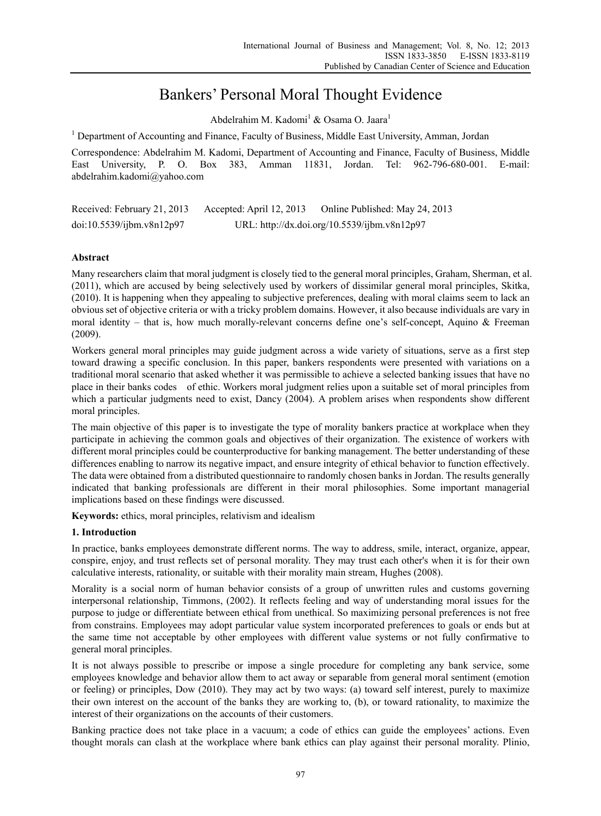# Bankers' Personal Moral Thought Evidence

Abdelrahim M. Kadomi<sup>1</sup> & Osama O. Jaara<sup>1</sup>

<sup>1</sup> Department of Accounting and Finance, Faculty of Business, Middle East University, Amman, Jordan

Correspondence: Abdelrahim M. Kadomi, Department of Accounting and Finance, Faculty of Business, Middle East University, P. O. Box 383, Amman 11831, Jordan. Tel: 962-796-680-001. E-mail: abdelrahim.kadomi@yahoo.com

| Received: February 21, 2013 | Accepted: April 12, 2013 | Online Published: May 24, 2013               |
|-----------------------------|--------------------------|----------------------------------------------|
| doi:10.5539/ijbm.v8n12p97   |                          | URL: http://dx.doi.org/10.5539/ijbm.v8n12p97 |

# **Abstract**

Many researchers claim that moral judgment is closely tied to the general moral principles, Graham, Sherman, et al. (2011), which are accused by being selectively used by workers of dissimilar general moral principles, Skitka, (2010). It is happening when they appealing to subjective preferences, dealing with moral claims seem to lack an obvious set of objective criteria or with a tricky problem domains. However, it also because individuals are vary in moral identity – that is, how much morally-relevant concerns define one's self-concept, Aquino & Freeman (2009).

Workers general moral principles may guide judgment across a wide variety of situations, serve as a first step toward drawing a specific conclusion. In this paper, bankers respondents were presented with variations on a traditional moral scenario that asked whether it was permissible to achieve a selected banking issues that have no place in their banks codes of ethic. Workers moral judgment relies upon a suitable set of moral principles from which a particular judgments need to exist, Dancy (2004). A problem arises when respondents show different moral principles.

The main objective of this paper is to investigate the type of morality bankers practice at workplace when they participate in achieving the common goals and objectives of their organization. The existence of workers with different moral principles could be counterproductive for banking management. The better understanding of these differences enabling to narrow its negative impact, and ensure integrity of ethical behavior to function effectively. The data were obtained from a distributed questionnaire to randomly chosen banks in Jordan. The results generally indicated that banking professionals are different in their moral philosophies. Some important managerial implications based on these findings were discussed.

**Keywords:** ethics, moral principles, relativism and idealism

# **1. Introduction**

In practice, banks employees demonstrate different norms. The way to address, smile, interact, organize, appear, conspire, enjoy, and trust reflects set of personal morality. They may trust each other's when it is for their own calculative interests, rationality, or suitable with their morality main stream, Hughes (2008).

Morality is a social norm of human behavior consists of a group of unwritten rules and customs governing interpersonal relationship, Timmons, (2002). It reflects feeling and way of understanding moral issues for the purpose to judge or differentiate between ethical from unethical. So maximizing personal preferences is not free from constrains. Employees may adopt particular value system incorporated preferences to goals or ends but at the same time not acceptable by other employees with different value systems or not fully confirmative to general moral principles.

It is not always possible to prescribe or impose a single procedure for completing any bank service, some employees knowledge and behavior allow them to act away or separable from general moral sentiment (emotion or feeling) or principles, Dow (2010). They may act by two ways: (a) toward self interest, purely to maximize their own interest on the account of the banks they are working to, (b), or toward rationality, to maximize the interest of their organizations on the accounts of their customers.

Banking practice does not take place in a vacuum; a code of ethics can guide the employees' actions. Even thought morals can clash at the workplace where bank ethics can play against their personal morality. Plinio,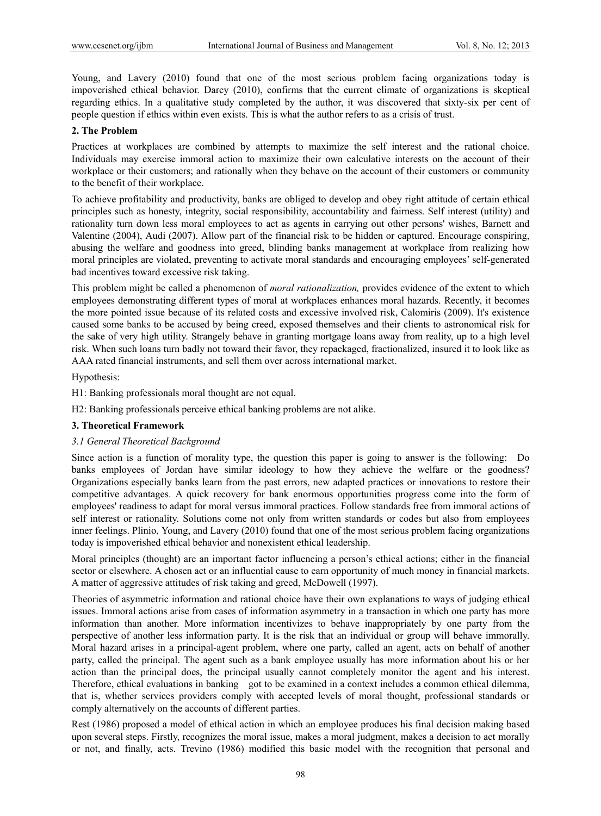Young, and Lavery (2010) found that one of the most serious problem facing organizations today is impoverished ethical behavior. Darcy (2010), confirms that the current climate of organizations is skeptical regarding ethics. In a qualitative study completed by the author, it was discovered that sixty-six per cent of people question if ethics within even exists. This is what the author refers to as a crisis of trust.

## **2. The Problem**

Practices at workplaces are combined by attempts to maximize the self interest and the rational choice. Individuals may exercise immoral action to maximize their own calculative interests on the account of their workplace or their customers; and rationally when they behave on the account of their customers or community to the benefit of their workplace.

To achieve profitability and productivity, banks are obliged to develop and obey right attitude of certain ethical principles such as honesty, integrity, social responsibility, accountability and fairness. Self interest (utility) and rationality turn down less moral employees to act as agents in carrying out other persons' wishes, Barnett and Valentine (2004), Audi (2007). Allow part of the financial risk to be hidden or captured. Encourage conspiring, abusing the welfare and goodness into greed, blinding banks management at workplace from realizing how moral principles are violated, preventing to activate moral standards and encouraging employees' self-generated bad incentives toward excessive risk taking.

This problem might be called a phenomenon of *moral rationalization,* provides evidence of the extent to which employees demonstrating different types of moral at workplaces enhances moral hazards. Recently, it becomes the more pointed issue because of its related costs and excessive involved risk, Calomiris (2009). It's existence caused some banks to be accused by being creed, exposed themselves and their clients to astronomical risk for the sake of very high utility. Strangely behave in granting mortgage loans away from reality, up to a high level risk. When such loans turn badly not toward their favor, they repackaged, fractionalized, insured it to look like as AAA rated financial instruments, and sell them over across international market.

Hypothesis:

H1: Banking professionals moral thought are not equal.

H2: Banking professionals perceive ethical banking problems are not alike.

#### **3. Theoretical Framework**

#### *3.1 General Theoretical Background*

Since action is a function of morality type, the question this paper is going to answer is the following: Do banks employees of Jordan have similar ideology to how they achieve the welfare or the goodness? Organizations especially banks learn from the past errors, new adapted practices or innovations to restore their competitive advantages. A quick recovery for bank enormous opportunities progress come into the form of employees' readiness to adapt for moral versus immoral practices. Follow standards free from immoral actions of self interest or rationality. Solutions come not only from written standards or codes but also from employees inner feelings. Plinio, Young, and Lavery (2010) found that one of the most serious problem facing organizations today is impoverished ethical behavior and nonexistent ethical leadership.

Moral principles (thought) are an important factor influencing a person's ethical actions; either in the financial sector or elsewhere. A chosen act or an influential cause to earn opportunity of much money in financial markets. A matter of aggressive attitudes of risk taking and greed, McDowell (1997).

Theories of asymmetric information and rational choice have their own explanations to ways of judging ethical issues. Immoral actions arise from cases of information asymmetry in a transaction in which one party has more information than another. More information incentivizes to behave inappropriately by one party from the perspective of another less information party. It is the risk that an individual or group will behave immorally. Moral hazard arises in a principal-agent problem, where one party, called an agent, acts on behalf of another party, called the principal. The agent such as a bank employee usually has more information about his or her action than the principal does, the principal usually cannot completely monitor the agent and his interest. Therefore, ethical evaluations in banking got to be examined in a context includes a common ethical dilemma, that is, whether services providers comply with accepted levels of moral thought, professional standards or comply alternatively on the accounts of different parties.

Rest (1986) proposed a model of ethical action in which an employee produces his final decision making based upon several steps. Firstly, recognizes the moral issue, makes a moral judgment, makes a decision to act morally or not, and finally, acts. Trevino (1986) modified this basic model with the recognition that personal and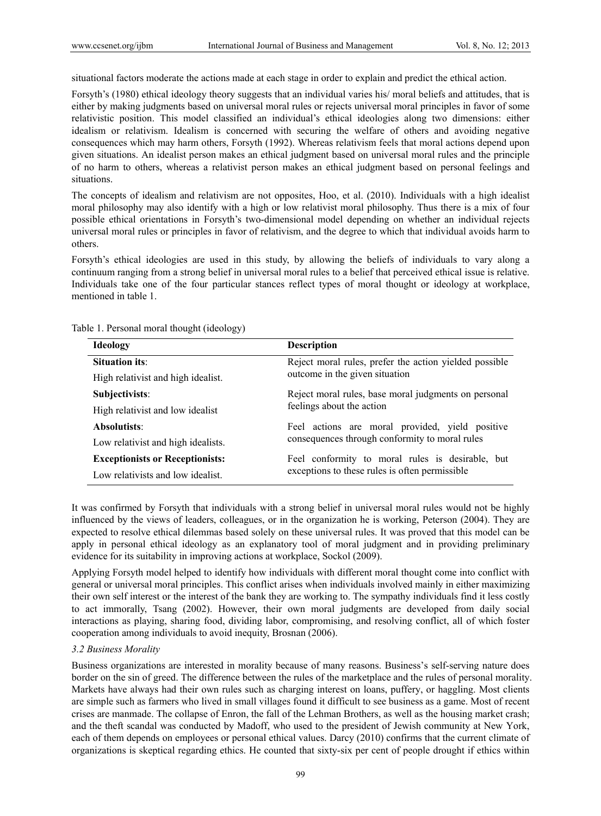situational factors moderate the actions made at each stage in order to explain and predict the ethical action.

Forsyth's (1980) ethical ideology theory suggests that an individual varies his/ moral beliefs and attitudes, that is either by making judgments based on universal moral rules or rejects universal moral principles in favor of some relativistic position. This model classified an individual's ethical ideologies along two dimensions: either idealism or relativism. Idealism is concerned with securing the welfare of others and avoiding negative consequences which may harm others, Forsyth (1992). Whereas relativism feels that moral actions depend upon given situations. An idealist person makes an ethical judgment based on universal moral rules and the principle of no harm to others, whereas a relativist person makes an ethical judgment based on personal feelings and situations.

The concepts of idealism and relativism are not opposites, Hoo, et al. (2010). Individuals with a high idealist moral philosophy may also identify with a high or low relativist moral philosophy. Thus there is a mix of four possible ethical orientations in Forsyth's two-dimensional model depending on whether an individual rejects universal moral rules or principles in favor of relativism, and the degree to which that individual avoids harm to others.

Forsyth's ethical ideologies are used in this study, by allowing the beliefs of individuals to vary along a continuum ranging from a strong belief in universal moral rules to a belief that perceived ethical issue is relative. Individuals take one of the four particular stances reflect types of moral thought or ideology at workplace, mentioned in table 1.

| <b>Ideology</b>                        | <b>Description</b>                                                                       |  |  |  |
|----------------------------------------|------------------------------------------------------------------------------------------|--|--|--|
| Situation its:                         | Reject moral rules, prefer the action yielded possible<br>outcome in the given situation |  |  |  |
| High relativist and high idealist.     |                                                                                          |  |  |  |
| Subjectivists:                         | Reject moral rules, base moral judgments on personal                                     |  |  |  |
| High relativist and low idealist       | feelings about the action                                                                |  |  |  |
| Absolutists:                           | Feel actions are moral provided, yield positive                                          |  |  |  |
| Low relativist and high idealists.     | consequences through conformity to moral rules                                           |  |  |  |
| <b>Exceptionists or Receptionists:</b> | Feel conformity to moral rules is desirable, but                                         |  |  |  |
| Low relativists and low idealist       | exceptions to these rules is often permissible                                           |  |  |  |

Table 1. Personal moral thought (ideology)

It was confirmed by Forsyth that individuals with a strong belief in universal moral rules would not be highly influenced by the views of leaders, colleagues, or in the organization he is working, Peterson (2004). They are expected to resolve ethical dilemmas based solely on these universal rules. It was proved that this model can be apply in personal ethical ideology as an explanatory tool of moral judgment and in providing preliminary evidence for its suitability in improving actions at workplace, Sockol (2009).

Applying Forsyth model helped to identify how individuals with different moral thought come into conflict with general or universal moral principles. This conflict arises when individuals involved mainly in either maximizing their own self interest or the interest of the bank they are working to. The sympathy individuals find it less costly to act immorally, Tsang (2002). However, their own moral judgments are developed from daily social interactions as playing, sharing food, dividing labor, compromising, and resolving conflict, all of which foster cooperation among individuals to avoid inequity, Brosnan (2006).

## *3.2 Business Morality*

Business organizations are interested in morality because of many reasons. Business's self-serving nature does border on the sin of greed. The difference between the rules of the marketplace and the rules of personal morality. Markets have always had their own rules such as charging interest on loans, puffery, or haggling. Most clients are simple such as farmers who lived in small villages found it difficult to see business as a game. Most of recent crises are manmade. The collapse of Enron, the fall of the Lehman Brothers, as well as the housing market crash; and the theft scandal was conducted by Madoff, who used to the president of Jewish community at New York, each of them depends on employees or personal ethical values. Darcy (2010) confirms that the current climate of organizations is skeptical regarding ethics. He counted that sixty-six per cent of people drought if ethics within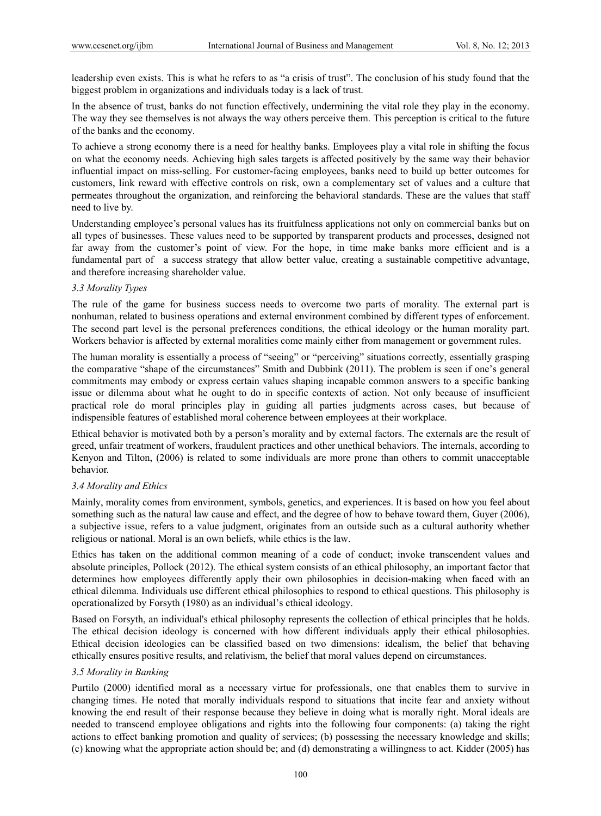leadership even exists. This is what he refers to as "a crisis of trust". The conclusion of his study found that the biggest problem in organizations and individuals today is a lack of trust.

In the absence of trust, banks do not function effectively, undermining the vital role they play in the economy. The way they see themselves is not always the way others perceive them. This perception is critical to the future of the banks and the economy.

To achieve a strong economy there is a need for healthy banks. Employees play a vital role in shifting the focus on what the economy needs. Achieving high sales targets is affected positively by the same way their behavior influential impact on miss-selling. For customer-facing employees, banks need to build up better outcomes for customers, link reward with effective controls on risk, own a complementary set of values and a culture that permeates throughout the organization, and reinforcing the behavioral standards. These are the values that staff need to live by.

Understanding employee's personal values has its fruitfulness applications not only on commercial banks but on all types of businesses. These values need to be supported by transparent products and processes, designed not far away from the customer's point of view. For the hope, in time make banks more efficient and is a fundamental part of a success strategy that allow better value, creating a sustainable competitive advantage, and therefore increasing shareholder value.

## *3.3 Morality Types*

The rule of the game for business success needs to overcome two parts of morality. The external part is nonhuman, related to business operations and external environment combined by different types of enforcement. The second part level is the personal preferences conditions, the ethical ideology or the human morality part. Workers behavior is affected by external moralities come mainly either from management or government rules.

The human morality is essentially a process of "seeing" or "perceiving" situations correctly, essentially grasping the comparative "shape of the circumstances" Smith and Dubbink (2011). The problem is seen if one's general commitments may embody or express certain values shaping incapable common answers to a specific banking issue or dilemma about what he ought to do in specific contexts of action. Not only because of insufficient practical role do moral principles play in guiding all parties judgments across cases, but because of indispensible features of established moral coherence between employees at their workplace.

Ethical behavior is motivated both by a person's morality and by external factors. The externals are the result of greed, unfair treatment of workers, fraudulent practices and other unethical behaviors. The internals, according to Kenyon and Tilton, (2006) is related to some individuals are more prone than others to commit unacceptable behavior.

#### *3.4 Morality and Ethics*

Mainly, morality comes from environment, symbols, genetics, and experiences. It is based on how you feel about something such as the natural law cause and effect, and the degree of how to behave toward them, Guyer (2006), a subjective issue, refers to a value judgment, originates from an outside such as a cultural authority whether religious or national. Moral is an own beliefs, while ethics is the law.

Ethics has taken on the additional common meaning of a code of conduct; invoke transcendent values and absolute principles, Pollock (2012). The ethical system consists of an ethical philosophy, an important factor that determines how employees differently apply their own philosophies in decision-making when faced with an ethical dilemma. Individuals use different ethical philosophies to respond to ethical questions. This philosophy is operationalized by Forsyth (1980) as an individual's ethical ideology.

Based on Forsyth, an individual's ethical philosophy represents the collection of ethical principles that he holds. The ethical decision ideology is concerned with how different individuals apply their ethical philosophies. Ethical decision ideologies can be classified based on two dimensions: idealism, the belief that behaving ethically ensures positive results, and relativism, the belief that moral values depend on circumstances.

## *3.5 Morality in Banking*

Purtilo (2000) identified moral as a necessary virtue for professionals, one that enables them to survive in changing times. He noted that morally individuals respond to situations that incite fear and anxiety without knowing the end result of their response because they believe in doing what is morally right. Moral ideals are needed to transcend employee obligations and rights into the following four components: (a) taking the right actions to effect banking promotion and quality of services; (b) possessing the necessary knowledge and skills; (c) knowing what the appropriate action should be; and (d) demonstrating a willingness to act. Kidder (2005) has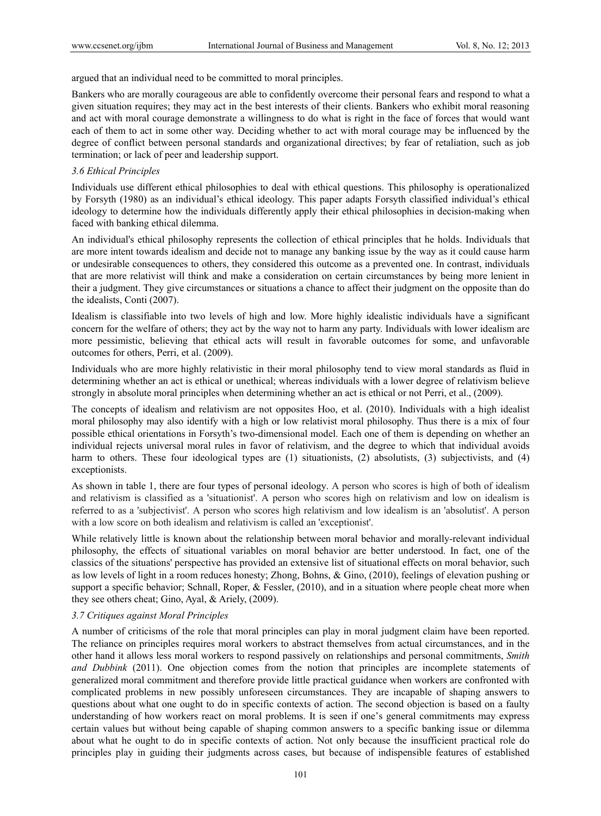argued that an individual need to be committed to moral principles.

Bankers who are morally courageous are able to confidently overcome their personal fears and respond to what a given situation requires; they may act in the best interests of their clients. Bankers who exhibit moral reasoning and act with moral courage demonstrate a willingness to do what is right in the face of forces that would want each of them to act in some other way. Deciding whether to act with moral courage may be influenced by the degree of conflict between personal standards and organizational directives; by fear of retaliation, such as job termination; or lack of peer and leadership support.

# *3.6 Ethical Principles*

Individuals use different ethical philosophies to deal with ethical questions. This philosophy is operationalized by Forsyth (1980) as an individual's ethical ideology. This paper adapts Forsyth classified individual's ethical ideology to determine how the individuals differently apply their ethical philosophies in decision-making when faced with banking ethical dilemma.

An individual's ethical philosophy represents the collection of ethical principles that he holds. Individuals that are more intent towards idealism and decide not to manage any banking issue by the way as it could cause harm or undesirable consequences to others, they considered this outcome as a prevented one. In contrast, individuals that are more relativist will think and make a consideration on certain circumstances by being more lenient in their a judgment. They give circumstances or situations a chance to affect their judgment on the opposite than do the idealists, Conti (2007).

Idealism is classifiable into two levels of high and low. More highly idealistic individuals have a significant concern for the welfare of others; they act by the way not to harm any party. Individuals with lower idealism are more pessimistic, believing that ethical acts will result in favorable outcomes for some, and unfavorable outcomes for others, Perri, et al. (2009).

Individuals who are more highly relativistic in their moral philosophy tend to view moral standards as fluid in determining whether an act is ethical or unethical; whereas individuals with a lower degree of relativism believe strongly in absolute moral principles when determining whether an act is ethical or not Perri, et al., (2009).

The concepts of idealism and relativism are not opposites Hoo, et al. (2010). Individuals with a high idealist moral philosophy may also identify with a high or low relativist moral philosophy. Thus there is a mix of four possible ethical orientations in Forsyth's two-dimensional model. Each one of them is depending on whether an individual rejects universal moral rules in favor of relativism, and the degree to which that individual avoids harm to others. These four ideological types are (1) situationists, (2) absolutists, (3) subjectivists, and (4) exceptionists.

As shown in table 1, there are four types of personal ideology. A person who scores is high of both of idealism and relativism is classified as a 'situationist'. A person who scores high on relativism and low on idealism is referred to as a 'subjectivist'. A person who scores high relativism and low idealism is an 'absolutist'. A person with a low score on both idealism and relativism is called an 'exceptionist'.

While relatively little is known about the relationship between moral behavior and morally-relevant individual philosophy, the effects of situational variables on moral behavior are better understood. In fact, one of the classics of the situations' perspective has provided an extensive list of situational effects on moral behavior, such as low levels of light in a room reduces honesty; Zhong, Bohns, & Gino, (2010), feelings of elevation pushing or support a specific behavior; Schnall, Roper, & Fessler, (2010), and in a situation where people cheat more when they see others cheat; Gino, Ayal, & Ariely, (2009).

## *3.7 Critiques against Moral Principles*

A number of criticisms of the role that moral principles can play in moral judgment claim have been reported. The reliance on principles requires moral workers to abstract themselves from actual circumstances, and in the other hand it allows less moral workers to respond passively on relationships and personal commitments, *Smith and Dubbink* (2011). One objection comes from the notion that principles are incomplete statements of generalized moral commitment and therefore provide little practical guidance when workers are confronted with complicated problems in new possibly unforeseen circumstances. They are incapable of shaping answers to questions about what one ought to do in specific contexts of action. The second objection is based on a faulty understanding of how workers react on moral problems. It is seen if one's general commitments may express certain values but without being capable of shaping common answers to a specific banking issue or dilemma about what he ought to do in specific contexts of action. Not only because the insufficient practical role do principles play in guiding their judgments across cases, but because of indispensible features of established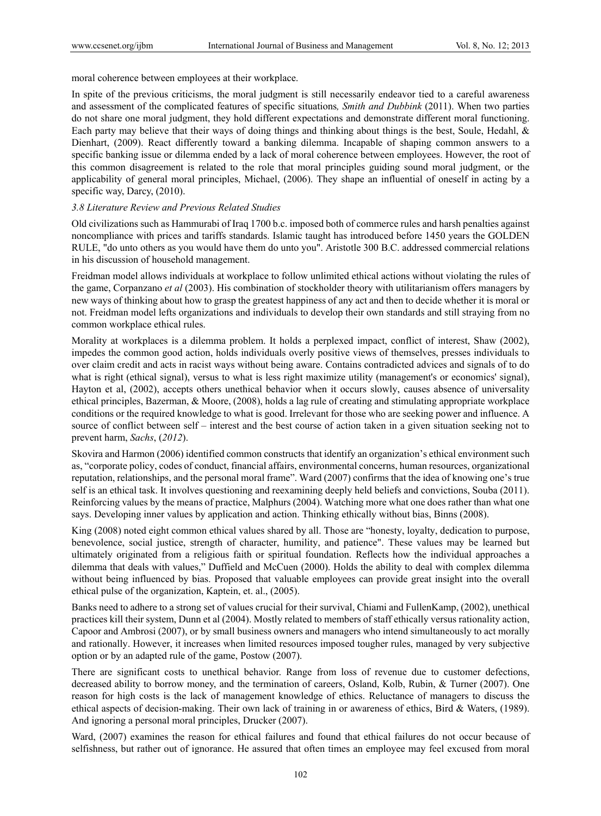moral coherence between employees at their workplace.

In spite of the previous criticisms, the moral judgment is still necessarily endeavor tied to a careful awareness and assessment of the complicated features of specific situations*, Smith and Dubbink* (2011). When two parties do not share one moral judgment, they hold different expectations and demonstrate different moral functioning. Each party may believe that their ways of doing things and thinking about things is the best, Soule, Hedahl, & Dienhart, (2009). React differently toward a banking dilemma. Incapable of shaping common answers to a specific banking issue or dilemma ended by a lack of moral coherence between employees. However, the root of this common disagreement is related to the role that moral principles guiding sound moral judgment, or the applicability of general moral principles, Michael, (2006). They shape an influential of oneself in acting by a specific way, Darcy,  $(2010)$ .

# *3.8 Literature Review and Previous Related Studies*

Old civilizations such as Hammurabi of Iraq 1700 b.c. imposed both of commerce rules and harsh penalties against noncompliance with prices and tariffs standards. Islamic taught has introduced before 1450 years the GOLDEN RULE, "do unto others as you would have them do unto you". Aristotle 300 B.C. addressed commercial relations in his discussion of household management.

Freidman model allows individuals at workplace to follow unlimited ethical actions without violating the rules of the game, Corpanzano *et al* (2003). His combination of stockholder theory with utilitarianism offers managers by new ways of thinking about how to grasp the greatest happiness of any act and then to decide whether it is moral or not. Freidman model lefts organizations and individuals to develop their own standards and still straying from no common workplace ethical rules.

Morality at workplaces is a dilemma problem. It holds a perplexed impact, conflict of interest, Shaw (2002), impedes the common good action, holds individuals overly positive views of themselves, presses individuals to over claim credit and acts in racist ways without being aware. Contains contradicted advices and signals of to do what is right (ethical signal), versus to what is less right maximize utility (management's or economics' signal), Hayton et al, (2002), accepts others unethical behavior when it occurs slowly, causes absence of universality ethical principles, Bazerman, & Moore, (2008), holds a lag rule of creating and stimulating appropriate workplace conditions or the required knowledge to what is good. Irrelevant for those who are seeking power and influence. A source of conflict between self – interest and the best course of action taken in a given situation seeking not to prevent harm, *Sachs*, (*2012*).

Skovira and Harmon (2006) identified common constructs that identify an organization's ethical environment such as, "corporate policy, codes of conduct, financial affairs, environmental concerns, human resources, organizational reputation, relationships, and the personal moral frame". Ward (2007) confirms that the idea of knowing one's true self is an ethical task. It involves questioning and reexamining deeply held beliefs and convictions, Souba (2011). Reinforcing values by the means of practice, Malphurs (2004). Watching more what one does rather than what one says. Developing inner values by application and action. Thinking ethically without bias, Binns (2008).

King (2008) noted eight common ethical values shared by all. Those are "honesty, loyalty, dedication to purpose, benevolence, social justice, strength of character, humility, and patience". These values may be learned but ultimately originated from a religious faith or spiritual foundation. Reflects how the individual approaches a dilemma that deals with values," Duffield and McCuen (2000). Holds the ability to deal with complex dilemma without being influenced by bias. Proposed that valuable employees can provide great insight into the overall ethical pulse of the organization, Kaptein, et. al., (2005).

Banks need to adhere to a strong set of values crucial for their survival, Chiami and FullenKamp, (2002), unethical practices kill their system, Dunn et al (2004). Mostly related to members of staff ethically versus rationality action, Capoor and Ambrosi (2007), or by small business owners and managers who intend simultaneously to act morally and rationally. However, it increases when limited resources imposed tougher rules, managed by very subjective option or by an adapted rule of the game, Postow (2007).

There are significant costs to unethical behavior. Range from loss of revenue due to customer defections, decreased ability to borrow money, and the termination of careers, Osland, Kolb, Rubin, & Turner (2007). One reason for high costs is the lack of management knowledge of ethics. Reluctance of managers to discuss the ethical aspects of decision-making. Their own lack of training in or awareness of ethics, Bird & Waters, (1989). And ignoring a personal moral principles, Drucker (2007).

Ward, (2007) examines the reason for ethical failures and found that ethical failures do not occur because of selfishness, but rather out of ignorance. He assured that often times an employee may feel excused from moral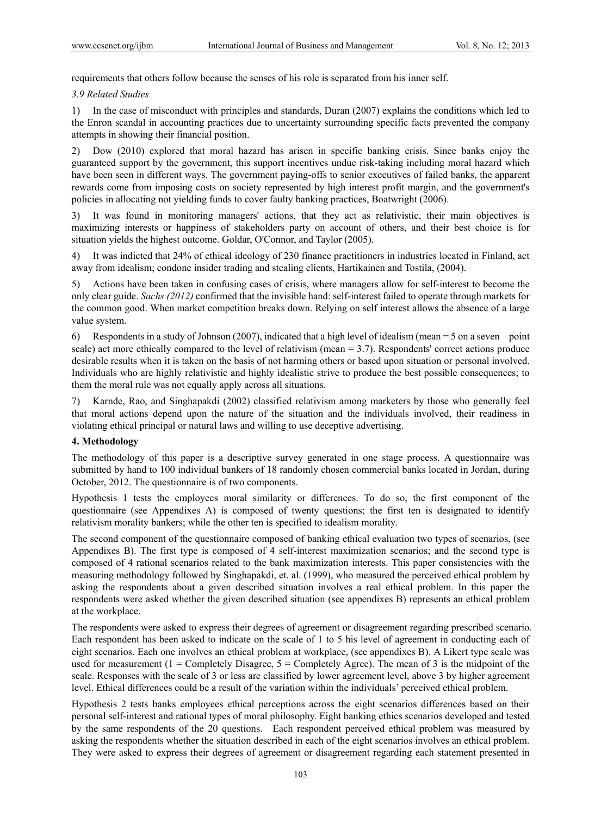requirements that others follow because the senses of his role is separated from his inner self.

## *3.9 Related Studies*

1) In the case of misconduct with principles and standards, Duran (2007) explains the conditions which led to the Enron scandal in accounting practices due to uncertainty surrounding specific facts prevented the company attempts in showing their financial position.

2) Dow (2010) explored that moral hazard has arisen in specific banking crisis. Since banks enjoy the guaranteed support by the government, this support incentives undue risk-taking including moral hazard which have been seen in different ways. The government paying-offs to senior executives of failed banks, the apparent rewards come from imposing costs on society represented by high interest profit margin, and the government's policies in allocating not yielding funds to cover faulty banking practices, Boatwright (2006).

3) It was found in monitoring managers' actions, that they act as relativistic, their main objectives is maximizing interests or happiness of stakeholders party on account of others, and their best choice is for situation yields the highest outcome. Goldar, O'Connor, and Taylor (2005).

4) It was indicted that 24% of ethical ideology of 230 finance practitioners in industries located in Finland, act away from idealism; condone insider trading and stealing clients, Hartikainen and Tostila, (2004).

5) Actions have been taken in confusing cases of crisis, where managers allow for self-interest to become the only clear guide. *Sachs (2012)* confirmed that the invisible hand: self-interest failed to operate through markets for the common good. When market competition breaks down. Relying on self interest allows the absence of a large value system.

6) Respondents in a study of Johnson (2007), indicated that a high level of idealism (mean = 5 on a seven – point scale) act more ethically compared to the level of relativism (mean = 3.7). Respondents' correct actions produce desirable results when it is taken on the basis of not harming others or based upon situation or personal involved. Individuals who are highly relativistic and highly idealistic strive to produce the best possible consequences; to them the moral rule was not equally apply across all situations.

7) Karnde, Rao, and Singhapakdi (2002) classified relativism among marketers by those who generally feel that moral actions depend upon the nature of the situation and the individuals involved, their readiness in violating ethical principal or natural laws and willing to use deceptive advertising.

## **4. Methodology**

The methodology of this paper is a descriptive survey generated in one stage process. A questionnaire was submitted by hand to 100 individual bankers of 18 randomly chosen commercial banks located in Jordan, during October, 2012. The questionnaire is of two components.

Hypothesis 1 tests the employees moral similarity or differences. To do so, the first component of the questionnaire (see Appendixes A) is composed of twenty questions; the first ten is designated to identify relativism morality bankers; while the other ten is specified to idealism morality.

The second component of the questionnaire composed of banking ethical evaluation two types of scenarios, (see Appendixes B). The first type is composed of 4 self-interest maximization scenarios; and the second type is composed of 4 rational scenarios related to the bank maximization interests. This paper consistencies with the measuring methodology followed by Singhapakdi, et. al. (1999), who measured the perceived ethical problem by asking the respondents about a given described situation involves a real ethical problem. In this paper the respondents were asked whether the given described situation (see appendixes B) represents an ethical problem at the workplace.

The respondents were asked to express their degrees of agreement or disagreement regarding prescribed scenario. Each respondent has been asked to indicate on the scale of 1 to 5 his level of agreement in conducting each of eight scenarios. Each one involves an ethical problem at workplace, (see appendixes B). A Likert type scale was used for measurement (1 = Completely Disagree,  $5$  = Completely Agree). The mean of 3 is the midpoint of the scale. Responses with the scale of 3 or less are classified by lower agreement level, above 3 by higher agreement level. Ethical differences could be a result of the variation within the individuals' perceived ethical problem.

Hypothesis 2 tests banks employees ethical perceptions across the eight scenarios differences based on their personal self-interest and rational types of moral philosophy. Eight banking ethics scenarios developed and tested by the same respondents of the 20 questions. Each respondent perceived ethical problem was measured by asking the respondents whether the situation described in each of the eight scenarios involves an ethical problem. They were asked to express their degrees of agreement or disagreement regarding each statement presented in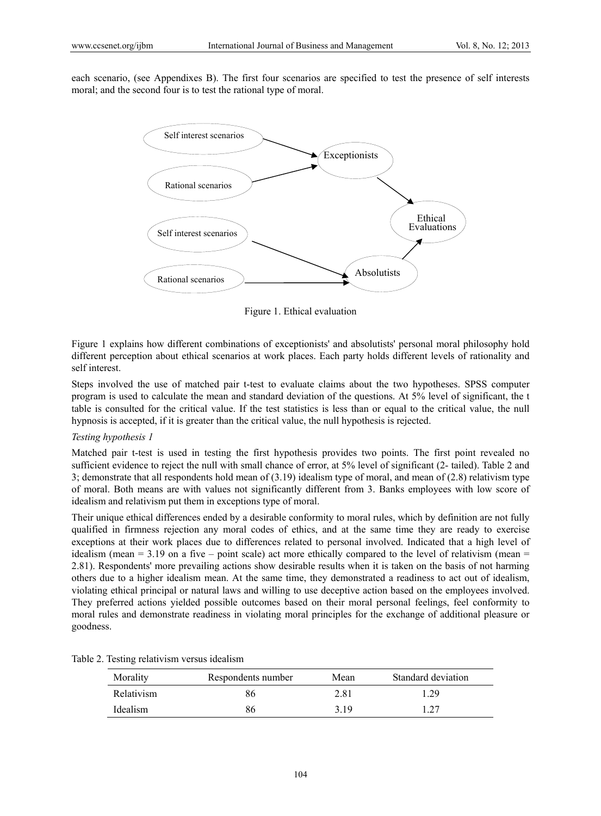each scenario, (see Appendixes B). The first four scenarios are specified to test the presence of self interests moral; and the second four is to test the rational type of moral.



Figure 1. Ethical evaluation

Figure 1 explains how different combinations of exceptionists' and absolutists' personal moral philosophy hold different perception about ethical scenarios at work places. Each party holds different levels of rationality and self interest.

Steps involved the use of matched pair t-test to evaluate claims about the two hypotheses. SPSS computer program is used to calculate the mean and standard deviation of the questions. At 5% level of significant, the t table is consulted for the critical value. If the test statistics is less than or equal to the critical value, the null hypnosis is accepted, if it is greater than the critical value, the null hypothesis is rejected.

#### *Testing hypothesis 1*

Matched pair t-test is used in testing the first hypothesis provides two points. The first point revealed no sufficient evidence to reject the null with small chance of error, at 5% level of significant (2- tailed). Table 2 and 3; demonstrate that all respondents hold mean of (3.19) idealism type of moral, and mean of (2.8) relativism type of moral. Both means are with values not significantly different from 3. Banks employees with low score of idealism and relativism put them in exceptions type of moral.

Their unique ethical differences ended by a desirable conformity to moral rules, which by definition are not fully qualified in firmness rejection any moral codes of ethics, and at the same time they are ready to exercise exceptions at their work places due to differences related to personal involved. Indicated that a high level of idealism (mean = 3.19 on a five – point scale) act more ethically compared to the level of relativism (mean = 2.81). Respondents' more prevailing actions show desirable results when it is taken on the basis of not harming others due to a higher idealism mean. At the same time, they demonstrated a readiness to act out of idealism, violating ethical principal or natural laws and willing to use deceptive action based on the employees involved. They preferred actions yielded possible outcomes based on their moral personal feelings, feel conformity to moral rules and demonstrate readiness in violating moral principles for the exchange of additional pleasure or goodness.

| Morality   | Respondents number | Mean  | Standard deviation |
|------------|--------------------|-------|--------------------|
| Relativism | 86                 | 2.81  | 1.29               |
| Idealism   | 86                 | 3 1 9 | 197                |

Table 2. Testing relativism versus idealism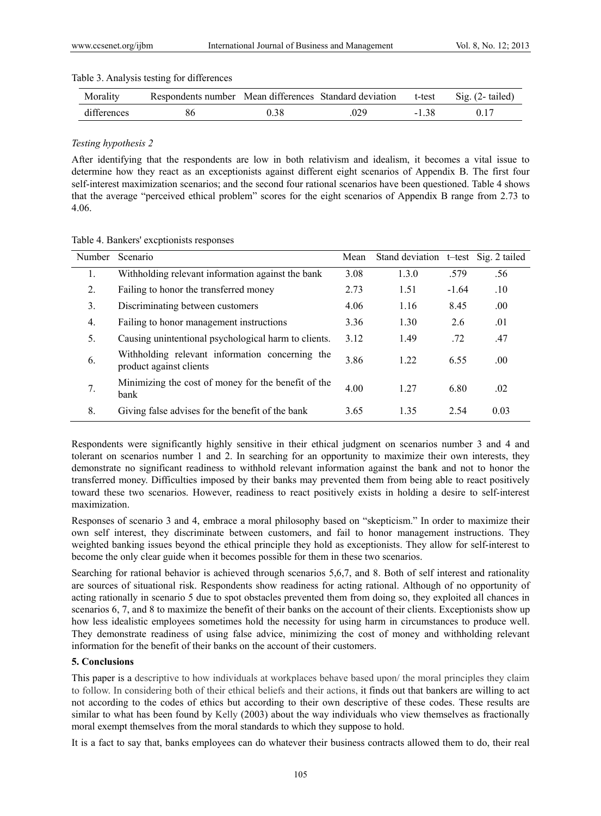| Morality    | Respondents number Mean differences Standard deviation |      |      | t-test  | $\text{Sig.}$ (2- tailed) |
|-------------|--------------------------------------------------------|------|------|---------|---------------------------|
| differences | 86                                                     | 0.38 | .029 | $-1.38$ | 017                       |

#### *Testing hypothesis 2*

After identifying that the respondents are low in both relativism and idealism, it becomes a vital issue to determine how they react as an exceptionists against different eight scenarios of Appendix B. The first four self-interest maximization scenarios; and the second four rational scenarios have been questioned. Table 4 shows that the average "perceived ethical problem" scores for the eight scenarios of Appendix B range from 2.73 to 4.06.

| Number | Scenario                                                                   | Mean | Stand deviation t-test Sig. 2 tailed |         |      |
|--------|----------------------------------------------------------------------------|------|--------------------------------------|---------|------|
| 1.     | Withholding relevant information against the bank                          | 3.08 | 1.3.0                                | .579    | .56  |
| 2.     | Failing to honor the transferred money                                     | 2.73 | 1.51                                 | $-1.64$ | .10  |
| 3.     | Discriminating between customers                                           | 4.06 | 1.16                                 | 8.45    | .00. |
| 4.     | Failing to honor management instructions                                   | 3.36 | 1.30                                 | 2.6     | .01  |
| 5.     | Causing unintentional psychological harm to clients.                       | 3.12 | 1.49                                 | .72     | .47  |
| 6.     | Withholding relevant information concerning the<br>product against clients | 3.86 | 1.22                                 | 6.55    | .00. |
| 7.     | Minimizing the cost of money for the benefit of the<br>bank                | 4.00 | 1.27                                 | 6.80    | .02  |
| 8.     | Giving false advises for the benefit of the bank                           | 3.65 | 1.35                                 | 2.54    | 0.03 |

Respondents were significantly highly sensitive in their ethical judgment on scenarios number 3 and 4 and tolerant on scenarios number 1 and 2. In searching for an opportunity to maximize their own interests, they demonstrate no significant readiness to withhold relevant information against the bank and not to honor the transferred money. Difficulties imposed by their banks may prevented them from being able to react positively toward these two scenarios. However, readiness to react positively exists in holding a desire to self-interest maximization.

Responses of scenario 3 and 4, embrace a moral philosophy based on "skepticism." In order to maximize their own self interest, they discriminate between customers, and fail to honor management instructions. They weighted banking issues beyond the ethical principle they hold as exceptionists. They allow for self-interest to become the only clear guide when it becomes possible for them in these two scenarios.

Searching for rational behavior is achieved through scenarios 5,6,7, and 8. Both of self interest and rationality are sources of situational risk. Respondents show readiness for acting rational. Although of no opportunity of acting rationally in scenario 5 due to spot obstacles prevented them from doing so, they exploited all chances in scenarios 6, 7, and 8 to maximize the benefit of their banks on the account of their clients. Exceptionists show up how less idealistic employees sometimes hold the necessity for using harm in circumstances to produce well. They demonstrate readiness of using false advice, minimizing the cost of money and withholding relevant information for the benefit of their banks on the account of their customers.

# **5. Conclusions**

This paper is a descriptive to how individuals at workplaces behave based upon/ the moral principles they claim to follow. In considering both of their ethical beliefs and their actions, it finds out that bankers are willing to act not according to the codes of ethics but according to their own descriptive of these codes. These results are similar to what has been found by Kelly (2003) about the way individuals who view themselves as fractionally moral exempt themselves from the moral standards to which they suppose to hold.

It is a fact to say that, banks employees can do whatever their business contracts allowed them to do, their real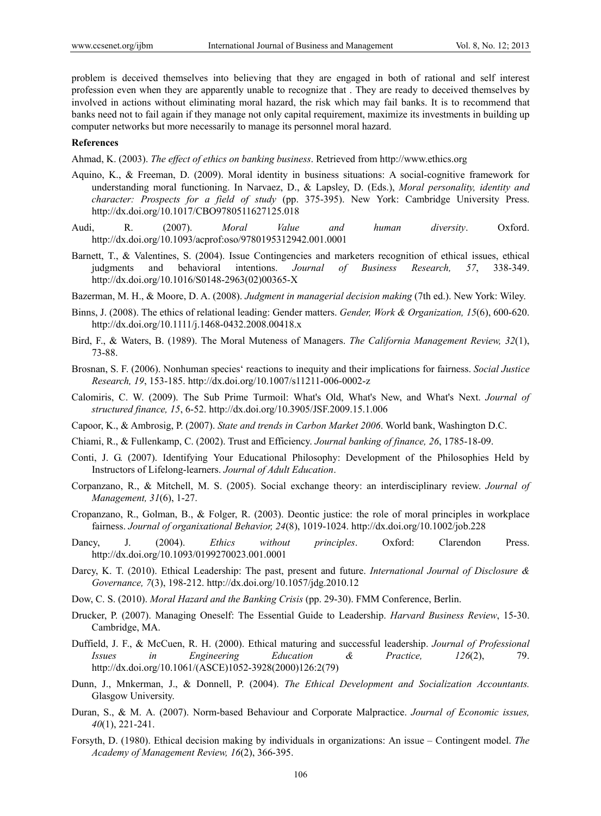problem is deceived themselves into believing that they are engaged in both of rational and self interest profession even when they are apparently unable to recognize that . They are ready to deceived themselves by involved in actions without eliminating moral hazard, the risk which may fail banks. It is to recommend that banks need not to fail again if they manage not only capital requirement, maximize its investments in building up computer networks but more necessarily to manage its personnel moral hazard.

## **References**

Ahmad, K. (2003). *The effect of ethics on banking business*. Retrieved from http://www.ethics.org

- Aquino, K., & Freeman, D. (2009). Moral identity in business situations: A social-cognitive framework for understanding moral functioning. In Narvaez, D., & Lapsley, D. (Eds.), *Moral personality, identity and character: Prospects for a field of study* (pp. 375-395). New York: Cambridge University Press. http://dx.doi.org/10.1017/CBO9780511627125.018
- Audi, R. (2007). *Moral Value and human diversity*. Oxford. http://dx.doi.org/10.1093/acprof:oso/9780195312942.001.0001
- Barnett, T., & Valentines, S. (2004). Issue Contingencies and marketers recognition of ethical issues, ethical judgments and behavioral intentions. *Journal of Business Research, 57*, 338-349. http://dx.doi.org/10.1016/S0148-2963(02)00365-X

Bazerman, M. H., & Moore, D. A. (2008). *Judgment in managerial decision making* (7th ed.). New York: Wiley.

- Binns, J. (2008). The ethics of relational leading: Gender matters. *Gender, Work & Organization, 15*(6), 600-620. http://dx.doi.org/10.1111/j.1468-0432.2008.00418.x
- Bird, F., & Waters, B. (1989). The Moral Muteness of Managers. *The California Management Review, 32*(1), 73-88.
- Brosnan, S. F. (2006). Nonhuman species' reactions to inequity and their implications for fairness. *Social Justice Research, 19*, 153-185. http://dx.doi.org/10.1007/s11211-006-0002-z
- Calomiris, C. W. (2009). The Sub Prime Turmoil: What's Old, What's New, and What's Next. *Journal of structured finance, 15*, 6-52. http://dx.doi.org/10.3905/JSF.2009.15.1.006
- Capoor, K., & Ambrosig, P. (2007). *State and trends in Carbon Market 2006*. World bank, Washington D.C.
- Chiami, R., & Fullenkamp, C. (2002). Trust and Efficiency. *Journal banking of finance, 26*, 1785-18-09.
- Conti, J. G. (2007). Identifying Your Educational Philosophy: Development of the Philosophies Held by Instructors of Lifelong-learners. *Journal of Adult Education*.
- Corpanzano, R., & Mitchell, M. S. (2005). Social exchange theory: an interdisciplinary review. *Journal of Management, 31*(6), 1-27.
- Cropanzano, R., Golman, B., & Folger, R. (2003). Deontic justice: the role of moral principles in workplace fairness. *Journal of organixational Behavior, 24*(8), 1019-1024. http://dx.doi.org/10.1002/job.228
- Dancy, J. (2004). *Ethics without principles*. Oxford: Clarendon Press. http://dx.doi.org/10.1093/0199270023.001.0001
- Darcy, K. T. (2010). Ethical Leadership: The past, present and future. *International Journal of Disclosure & Governance, 7*(3), 198-212. http://dx.doi.org/10.1057/jdg.2010.12
- Dow, C. S. (2010). *Moral Hazard and the Banking Crisis* (pp. 29-30). FMM Conference, Berlin.
- Drucker, P. (2007). Managing Oneself: The Essential Guide to Leadership. *Harvard Business Review*, 15-30. Cambridge, MA.
- Duffield, J. F., & McCuen, R. H. (2000). Ethical maturing and successful leadership. *Journal of Professional Issues in Engineering Education & Practice, 126*(2), 79. http://dx.doi.org/10.1061/(ASCE)1052-3928(2000)126:2(79)
- Dunn, J., Mnkerman, J., & Donnell, P. (2004). *The Ethical Development and Socialization Accountants.* Glasgow University.
- Duran, S., & M. A. (2007). Norm-based Behaviour and Corporate Malpractice. *Journal of Economic issues, 40*(1), 221-241.
- Forsyth, D. (1980). Ethical decision making by individuals in organizations: An issue Contingent model. *The Academy of Management Review, 16*(2), 366-395.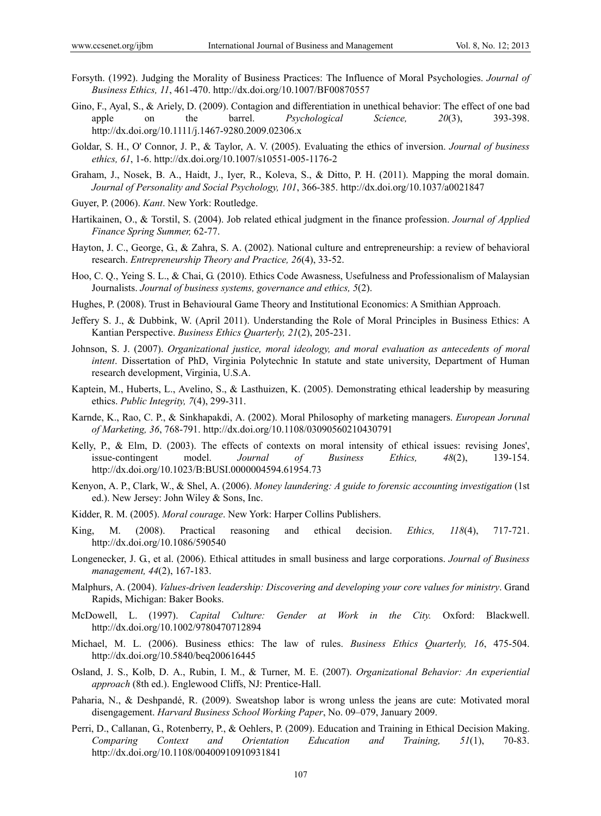- Forsyth. (1992). Judging the Morality of Business Practices: The Influence of Moral Psychologies. *Journal of Business Ethics, 11*, 461-470. http://dx.doi.org/10.1007/BF00870557
- Gino, F., Ayal, S., & Ariely, D. (2009). Contagion and differentiation in unethical behavior: The effect of one bad apple on the barrel. *Psychological Science, 20*(3), 393-398. http://dx.doi.org/10.1111/j.1467-9280.2009.02306.x
- Goldar, S. H., O' Connor, J. P., & Taylor, A. V. (2005). Evaluating the ethics of inversion. *Journal of business ethics, 61*, 1-6. http://dx.doi.org/10.1007/s10551-005-1176-2
- Graham, J., Nosek, B. A., Haidt, J., Iyer, R., Koleva, S., & Ditto, P. H. (2011). Mapping the moral domain. *Journal of Personality and Social Psychology, 101*, 366-385. http://dx.doi.org/10.1037/a0021847
- Guyer, P. (2006). *Kant*. New York: Routledge.
- Hartikainen, O., & Torstil, S. (2004). Job related ethical judgment in the finance profession. *Journal of Applied Finance Spring Summer,* 62-77.
- Hayton, J. C., George, G., & Zahra, S. A. (2002). National culture and entrepreneurship: a review of behavioral research. *Entrepreneurship Theory and Practice, 26*(4), 33-52.
- Hoo, C. Q., Yeing S. L., & Chai, G. (2010). Ethics Code Awasness, Usefulness and Professionalism of Malaysian Journalists. *Journal of business systems, governance and ethics, 5*(2).
- Hughes, P. (2008). Trust in Behavioural Game Theory and Institutional Economics: A Smithian Approach.
- Jeffery S. J., & Dubbink, W. (April 2011). Understanding the Role of Moral Principles in Business Ethics: A Kantian Perspective. *Business Ethics Quarterly, 21*(2), 205-231.
- Johnson, S. J. (2007). *Organizational justice, moral ideology, and moral evaluation as antecedents of moral intent*. Dissertation of PhD, Virginia Polytechnic In statute and state university, Department of Human research development, Virginia, U.S.A.
- Kaptein, M., Huberts, L., Avelino, S., & Lasthuizen, K. (2005). Demonstrating ethical leadership by measuring ethics. *Public Integrity, 7*(4), 299-311.
- Karnde, K., Rao, C. P., & Sinkhapakdi, A. (2002). Moral Philosophy of marketing managers. *European Jorunal of Marketing, 36*, 768-791. http://dx.doi.org/10.1108/03090560210430791
- Kelly, P., & Elm, D. (2003). The effects of contexts on moral intensity of ethical issues: revising Jones', issue-contingent model. *Journal of Business Ethics, 48*(2), 139-154. http://dx.doi.org/10.1023/B:BUSI.0000004594.61954.73
- Kenyon, A. P., Clark, W., & Shel, A. (2006). *Money laundering: A guide to forensic accounting investigation* (1st ed.). New Jersey: John Wiley & Sons, Inc.
- Kidder, R. M. (2005). *Moral courage*. New York: Harper Collins Publishers.
- King, M. (2008). Practical reasoning and ethical decision. *Ethics, 118*(4), 717-721. http://dx.doi.org/10.1086/590540
- Longenecker, J. G., et al. (2006). Ethical attitudes in small business and large corporations. *Journal of Business management, 44*(2), 167-183.
- Malphurs, A. (2004). *Values-driven leadership: Discovering and developing your core values for ministry*. Grand Rapids, Michigan: Baker Books.
- McDowell, L. (1997). *Capital Culture: Gender at Work in the City.* Oxford: Blackwell. http://dx.doi.org/10.1002/9780470712894
- Michael, M. L. (2006). Business ethics: The law of rules. *Business Ethics Quarterly, 16*, 475-504. http://dx.doi.org/10.5840/beq200616445
- Osland, J. S., Kolb, D. A., Rubin, I. M., & Turner, M. E. (2007). *Organizational Behavior: An experiential approach* (8th ed.). Englewood Cliffs, NJ: Prentice-Hall.
- Paharia, N., & Deshpandé, R. (2009). Sweatshop labor is wrong unless the jeans are cute: Motivated moral disengagement. *Harvard Business School Working Paper*, No. 09–079, January 2009.
- Perri, D., Callanan, G., Rotenberry, P., & Oehlers, P. (2009). Education and Training in Ethical Decision Making. *Comparing Context and Orientation Education and Training, 51*(1), 70-83. http://dx.doi.org/10.1108/00400910910931841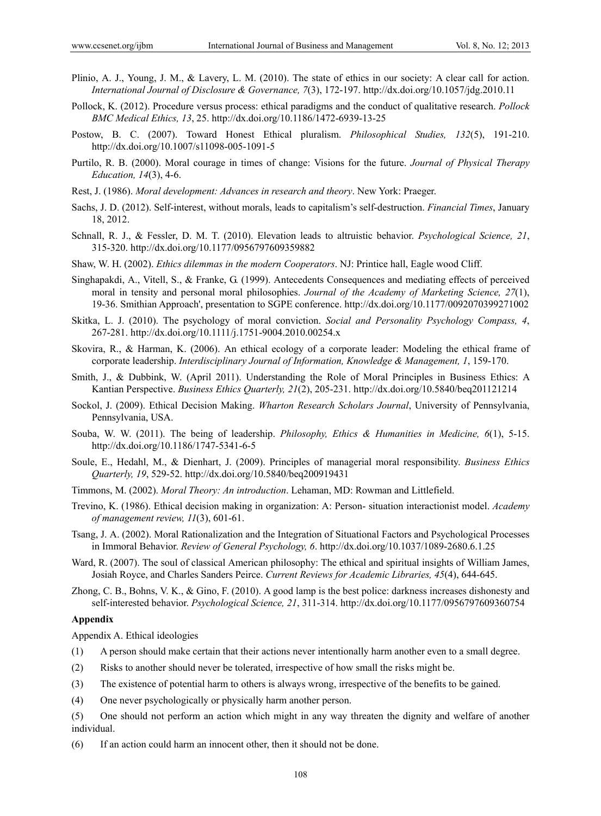- Plinio, A. J., Young, J. M., & Lavery, L. M. (2010). The state of ethics in our society: A clear call for action. *International Journal of Disclosure & Governance, 7*(3), 172-197. http://dx.doi.org/10.1057/jdg.2010.11
- Pollock, K. (2012). Procedure versus process: ethical paradigms and the conduct of qualitative research. *Pollock BMC Medical Ethics, 13*, 25. http://dx.doi.org/10.1186/1472-6939-13-25
- Postow, B. C. (2007). Toward Honest Ethical pluralism. *Philosophical Studies, 132*(5), 191-210. http://dx.doi.org/10.1007/s11098-005-1091-5
- Purtilo, R. B. (2000). Moral courage in times of change: Visions for the future. *Journal of Physical Therapy Education, 14*(3), 4-6.
- Rest, J. (1986). *Moral development: Advances in research and theory*. New York: Praeger.
- Sachs, J. D. (2012). Self-interest, without morals, leads to capitalism's self-destruction. *Financial Times*, January 18, 2012.
- Schnall, R. J., & Fessler, D. M. T. (2010). Elevation leads to altruistic behavior. *Psychological Science, 21*, 315-320. http://dx.doi.org/10.1177/0956797609359882
- Shaw, W. H. (2002). *Ethics dilemmas in the modern Cooperators*. NJ: Printice hall, Eagle wood Cliff.
- Singhapakdi, A., Vitell, S., & Franke, G. (1999). Antecedents Consequences and mediating effects of perceived moral in tensity and personal moral philosophies. *Journal of the Academy of Marketing Science, 27*(1), 19-36. Smithian Approach', presentation to SGPE conference. http://dx.doi.org/10.1177/0092070399271002
- Skitka, L. J. (2010). The psychology of moral conviction. *Social and Personality Psychology Compass, 4*, 267-281. http://dx.doi.org/10.1111/j.1751-9004.2010.00254.x
- Skovira, R., & Harman, K. (2006). An ethical ecology of a corporate leader: Modeling the ethical frame of corporate leadership. *Interdisciplinary Journal of Information, Knowledge & Management, 1*, 159-170.
- Smith, J., & Dubbink, W. (April 2011). Understanding the Role of Moral Principles in Business Ethics: A Kantian Perspective. *Business Ethics Quarterly, 21*(2), 205-231. http://dx.doi.org/10.5840/beq201121214
- Sockol, J. (2009). Ethical Decision Making. *Wharton Research Scholars Journal*, University of Pennsylvania, Pennsylvania, USA.
- Souba, W. W. (2011). The being of leadership. *Philosophy, Ethics & Humanities in Medicine, 6*(1), 5-15. http://dx.doi.org/10.1186/1747-5341-6-5
- Soule, E., Hedahl, M., & Dienhart, J. (2009). Principles of managerial moral responsibility. *Business Ethics Quarterly, 19*, 529-52. http://dx.doi.org/10.5840/beq200919431
- Timmons, M. (2002). *Moral Theory: An introduction*. Lehaman, MD: Rowman and Littlefield.
- Trevino, K. (1986). Ethical decision making in organization: A: Person- situation interactionist model. *Academy of management review, 11*(3), 601-61.
- Tsang, J. A. (2002). Moral Rationalization and the Integration of Situational Factors and Psychological Processes in Immoral Behavior. *Review of General Psychology, 6*. http://dx.doi.org/10.1037/1089-2680.6.1.25
- Ward, R. (2007). The soul of classical American philosophy: The ethical and spiritual insights of William James, Josiah Royce, and Charles Sanders Peirce. *Current Reviews for Academic Libraries, 45*(4), 644-645.
- Zhong, C. B., Bohns, V. K., & Gino, F. (2010). A good lamp is the best police: darkness increases dishonesty and self-interested behavior. *Psychological Science, 21*, 311-314. http://dx.doi.org/10.1177/0956797609360754

#### **Appendix**

Appendix A. Ethical ideologies

- (1) A person should make certain that their actions never intentionally harm another even to a small degree.
- (2) Risks to another should never be tolerated, irrespective of how small the risks might be.
- (3) The existence of potential harm to others is always wrong, irrespective of the benefits to be gained.
- (4) One never psychologically or physically harm another person.
- (5) One should not perform an action which might in any way threaten the dignity and welfare of another individual.
- (6) If an action could harm an innocent other, then it should not be done.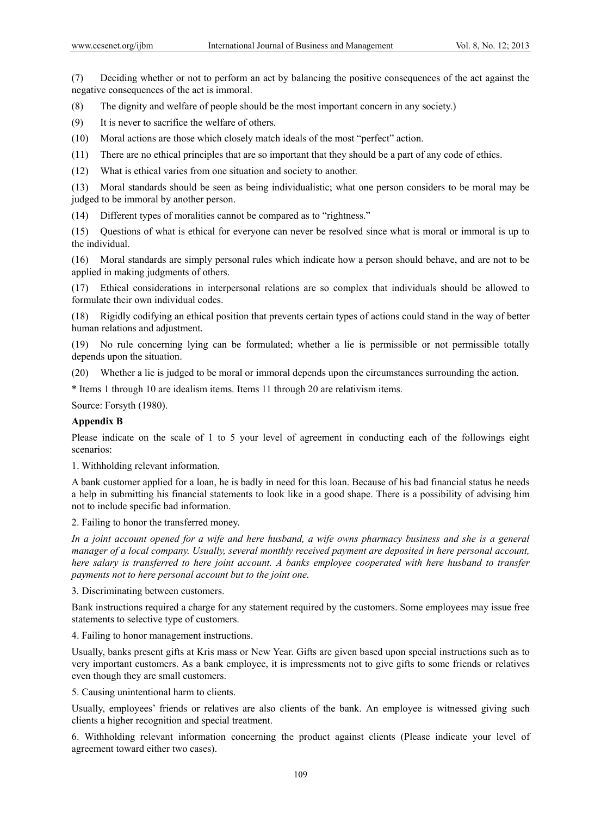(7) Deciding whether or not to perform an act by balancing the positive consequences of the act against the negative consequences of the act is immoral.

(8) The dignity and welfare of people should be the most important concern in any society.)

(9) It is never to sacrifice the welfare of others.

(10) Moral actions are those which closely match ideals of the most "perfect" action.

(11) There are no ethical principles that are so important that they should be a part of any code of ethics.

(12) What is ethical varies from one situation and society to another.

(13) Moral standards should be seen as being individualistic; what one person considers to be moral may be judged to be immoral by another person.

(14) Different types of moralities cannot be compared as to "rightness."

(15) Questions of what is ethical for everyone can never be resolved since what is moral or immoral is up to the individual.

(16) Moral standards are simply personal rules which indicate how a person should behave, and are not to be applied in making judgments of others.

(17) Ethical considerations in interpersonal relations are so complex that individuals should be allowed to formulate their own individual codes.

(18) Rigidly codifying an ethical position that prevents certain types of actions could stand in the way of better human relations and adjustment.

(19) No rule concerning lying can be formulated; whether a lie is permissible or not permissible totally depends upon the situation.

(20) Whether a lie is judged to be moral or immoral depends upon the circumstances surrounding the action.

\* Items 1 through 10 are idealism items. Items 11 through 20 are relativism items.

Source: Forsyth (1980).

## **Appendix B**

Please indicate on the scale of 1 to 5 your level of agreement in conducting each of the followings eight scenarios:

1. Withholding relevant information.

A bank customer applied for a loan, he is badly in need for this loan. Because of his bad financial status he needs a help in submitting his financial statements to look like in a good shape. There is a possibility of advising him not to include specific bad information.

2. Failing to honor the transferred money.

*In a joint account opened for a wife and here husband, a wife owns pharmacy business and she is a general manager of a local company. Usually, several monthly received payment are deposited in here personal account, here salary is transferred to here joint account. A banks employee cooperated with here husband to transfer payments not to here personal account but to the joint one.* 

3*.* Discriminating between customers.

Bank instructions required a charge for any statement required by the customers. Some employees may issue free statements to selective type of customers.

4. Failing to honor management instructions.

Usually, banks present gifts at Kris mass or New Year. Gifts are given based upon special instructions such as to very important customers. As a bank employee, it is impressments not to give gifts to some friends or relatives even though they are small customers.

5. Causing unintentional harm to clients.

Usually, employees' friends or relatives are also clients of the bank. An employee is witnessed giving such clients a higher recognition and special treatment.

6. Withholding relevant information concerning the product against clients (Please indicate your level of agreement toward either two cases).